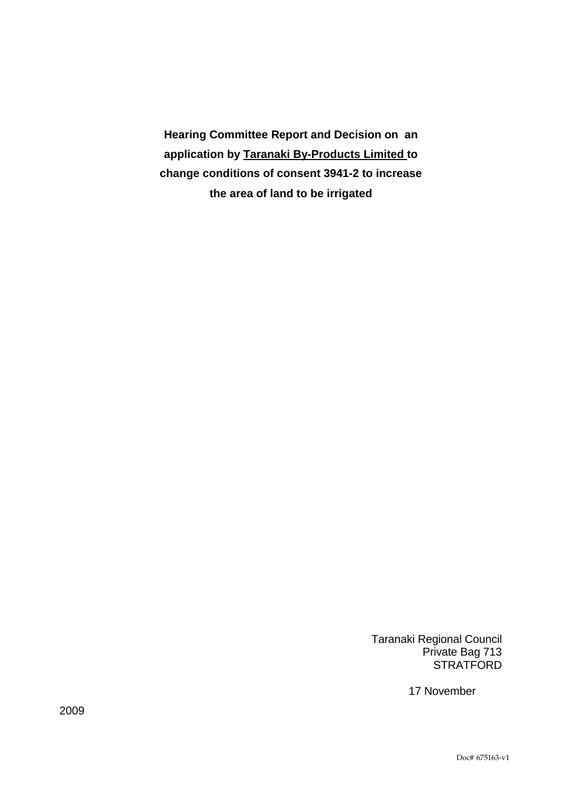**Hearing Committee Report and Decision on an application by Taranaki By-Products Limited to change conditions of consent 3941-2 to increase the area of land to be irrigated** 

> Taranaki Regional Council Private Bag 713 **STRATFORD**

> > 17 November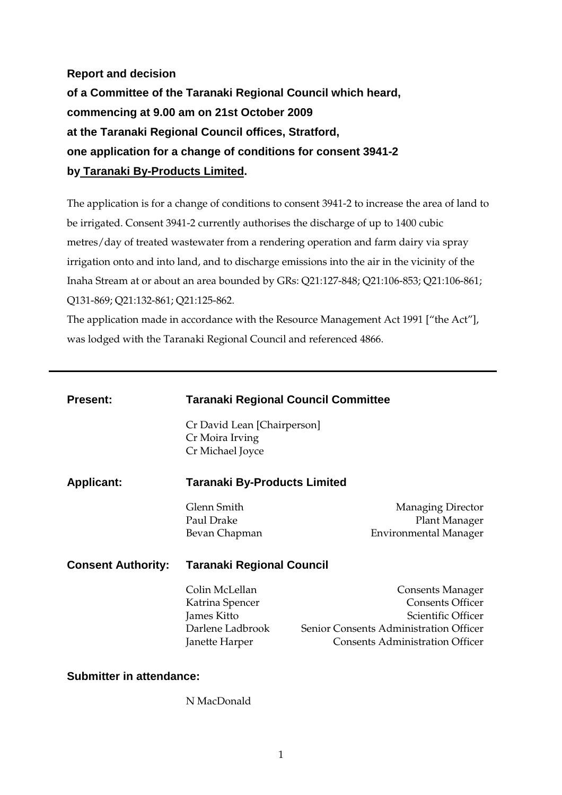**Report and decision of a Committee of the Taranaki Regional Council which heard, commencing at 9.00 am on 21st October 2009 at the Taranaki Regional Council offices, Stratford, one application for a change of conditions for consent 3941-2 by Taranaki By-Products Limited.** 

The application is for a change of conditions to consent 3941-2 to increase the area of land to be irrigated. Consent 3941-2 currently authorises the discharge of up to 1400 cubic metres/day of treated wastewater from a rendering operation and farm dairy via spray irrigation onto and into land, and to discharge emissions into the air in the vicinity of the Inaha Stream at or about an area bounded by GRs: Q21:127-848; Q21:106-853; Q21:106-861; Q131-869; Q21:132-861; Q21:125-862.

The application made in accordance with the Resource Management Act 1991 ["the Act"], was lodged with the Taranaki Regional Council and referenced 4866.

| <b>Present:</b>           | <b>Taranaki Regional Council Committee</b>                                             |                                                                                                                                                              |
|---------------------------|----------------------------------------------------------------------------------------|--------------------------------------------------------------------------------------------------------------------------------------------------------------|
|                           | Cr David Lean [Chairperson]<br>Cr Moira Irving<br>Cr Michael Joyce                     |                                                                                                                                                              |
| <b>Applicant:</b>         | Taranaki By-Products Limited                                                           |                                                                                                                                                              |
|                           | Glenn Smith<br>Paul Drake<br>Bevan Chapman                                             | <b>Managing Director</b><br>Plant Manager<br><b>Environmental Manager</b>                                                                                    |
| <b>Consent Authority:</b> | Taranaki Regional Council                                                              |                                                                                                                                                              |
|                           | Colin McLellan<br>Katrina Spencer<br>James Kitto<br>Darlene Ladbrook<br>Janette Harper | <b>Consents Manager</b><br><b>Consents Officer</b><br>Scientific Officer<br>Senior Consents Administration Officer<br><b>Consents Administration Officer</b> |

### **Submitter in attendance:**

N MacDonald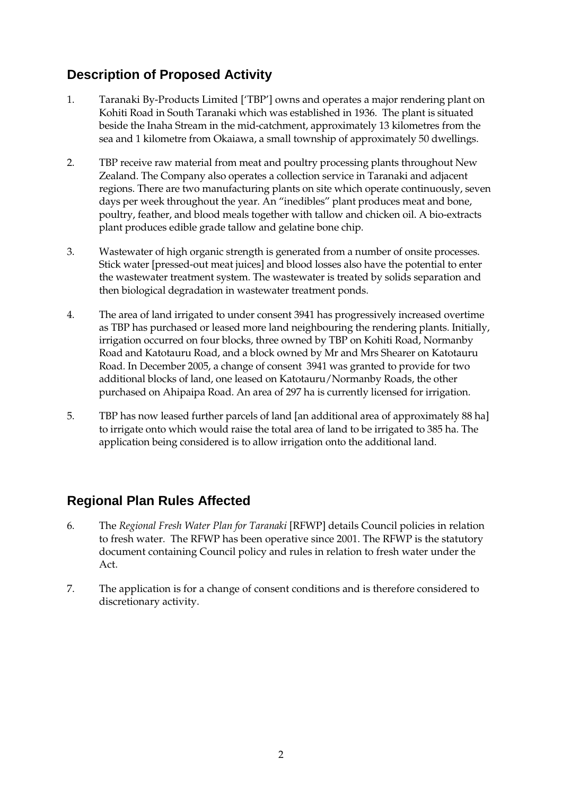# **Description of Proposed Activity**

- 1. Taranaki By-Products Limited ['TBP'] owns and operates a major rendering plant on Kohiti Road in South Taranaki which was established in 1936. The plant is situated beside the Inaha Stream in the mid-catchment, approximately 13 kilometres from the sea and 1 kilometre from Okaiawa, a small township of approximately 50 dwellings.
- 2. TBP receive raw material from meat and poultry processing plants throughout New Zealand. The Company also operates a collection service in Taranaki and adjacent regions. There are two manufacturing plants on site which operate continuously, seven days per week throughout the year. An "inedibles" plant produces meat and bone, poultry, feather, and blood meals together with tallow and chicken oil. A bio-extracts plant produces edible grade tallow and gelatine bone chip.
- 3. Wastewater of high organic strength is generated from a number of onsite processes. Stick water [pressed-out meat juices] and blood losses also have the potential to enter the wastewater treatment system. The wastewater is treated by solids separation and then biological degradation in wastewater treatment ponds.
- 4. The area of land irrigated to under consent 3941 has progressively increased overtime as TBP has purchased or leased more land neighbouring the rendering plants. Initially, irrigation occurred on four blocks, three owned by TBP on Kohiti Road, Normanby Road and Katotauru Road, and a block owned by Mr and Mrs Shearer on Katotauru Road. In December 2005, a change of consent 3941 was granted to provide for two additional blocks of land, one leased on Katotauru/Normanby Roads, the other purchased on Ahipaipa Road. An area of 297 ha is currently licensed for irrigation.
- 5. TBP has now leased further parcels of land [an additional area of approximately 88 ha] to irrigate onto which would raise the total area of land to be irrigated to 385 ha. The application being considered is to allow irrigation onto the additional land.

# **Regional Plan Rules Affected**

- 6. The *Regional Fresh Water Plan for Taranaki* [RFWP] details Council policies in relation to fresh water. The RFWP has been operative since 2001. The RFWP is the statutory document containing Council policy and rules in relation to fresh water under the Act.
- 7. The application is for a change of consent conditions and is therefore considered to discretionary activity.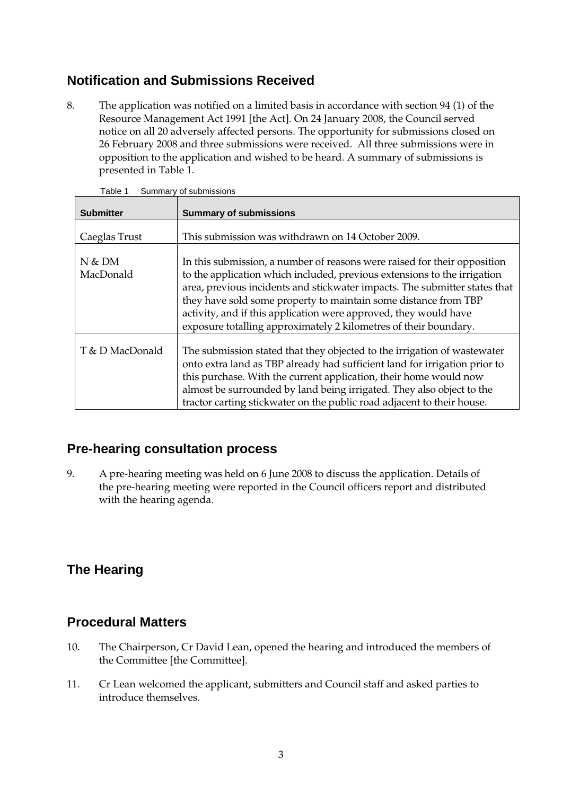# **Notification and Submissions Received**

8. The application was notified on a limited basis in accordance with section 94 (1) of the Resource Management Act 1991 [the Act]. On 24 January 2008, the Council served notice on all 20 adversely affected persons. The opportunity for submissions closed on 26 February 2008 and three submissions were received. All three submissions were in opposition to the application and wished to be heard. A summary of submissions is presented in Table 1.

| <b>Submitter</b>        | <b>Summary of submissions</b>                                                                                                                                                                                                                                                                                                                                                                                                                 |
|-------------------------|-----------------------------------------------------------------------------------------------------------------------------------------------------------------------------------------------------------------------------------------------------------------------------------------------------------------------------------------------------------------------------------------------------------------------------------------------|
| Caeglas Trust           | This submission was withdrawn on 14 October 2009.                                                                                                                                                                                                                                                                                                                                                                                             |
| $N$ & $DM$<br>MacDonald | In this submission, a number of reasons were raised for their opposition<br>to the application which included, previous extensions to the irrigation<br>area, previous incidents and stickwater impacts. The submitter states that<br>they have sold some property to maintain some distance from TBP<br>activity, and if this application were approved, they would have<br>exposure totalling approximately 2 kilometres of their boundary. |
| T & D MacDonald         | The submission stated that they objected to the irrigation of wastewater<br>onto extra land as TBP already had sufficient land for irrigation prior to<br>this purchase. With the current application, their home would now<br>almost be surrounded by land being irrigated. They also object to the<br>tractor carting stickwater on the public road adjacent to their house.                                                                |

Table 1 Summary of submissions

## **Pre-hearing consultation process**

9. A pre-hearing meeting was held on 6 June 2008 to discuss the application. Details of the pre-hearing meeting were reported in the Council officers report and distributed with the hearing agenda.

# **The Hearing**

### **Procedural Matters**

- 10. The Chairperson, Cr David Lean, opened the hearing and introduced the members of the Committee [the Committee].
- 11. Cr Lean welcomed the applicant, submitters and Council staff and asked parties to introduce themselves.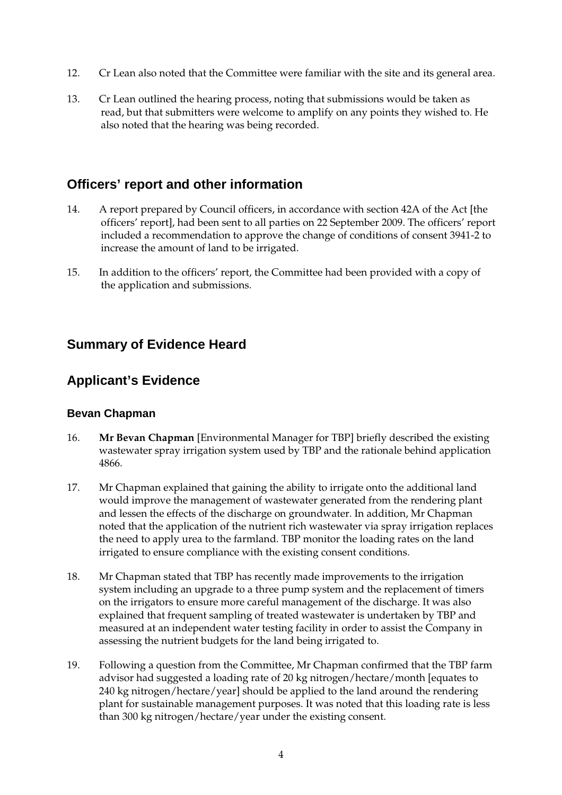- 12. Cr Lean also noted that the Committee were familiar with the site and its general area.
- 13. Cr Lean outlined the hearing process, noting that submissions would be taken as read, but that submitters were welcome to amplify on any points they wished to. He also noted that the hearing was being recorded.

## **Officers' report and other information**

- 14. A report prepared by Council officers, in accordance with section 42A of the Act [the officers' report], had been sent to all parties on 22 September 2009. The officers' report included a recommendation to approve the change of conditions of consent 3941-2 to increase the amount of land to be irrigated.
- 15. In addition to the officers' report, the Committee had been provided with a copy of the application and submissions.

## **Summary of Evidence Heard**

### **Applicant's Evidence**

### **Bevan Chapman**

- 16. **Mr Bevan Chapman** [Environmental Manager for TBP] briefly described the existing wastewater spray irrigation system used by TBP and the rationale behind application 4866.
- 17. Mr Chapman explained that gaining the ability to irrigate onto the additional land would improve the management of wastewater generated from the rendering plant and lessen the effects of the discharge on groundwater. In addition, Mr Chapman noted that the application of the nutrient rich wastewater via spray irrigation replaces the need to apply urea to the farmland. TBP monitor the loading rates on the land irrigated to ensure compliance with the existing consent conditions.
- 18. Mr Chapman stated that TBP has recently made improvements to the irrigation system including an upgrade to a three pump system and the replacement of timers on the irrigators to ensure more careful management of the discharge. It was also explained that frequent sampling of treated wastewater is undertaken by TBP and measured at an independent water testing facility in order to assist the Company in assessing the nutrient budgets for the land being irrigated to.
- 19. Following a question from the Committee, Mr Chapman confirmed that the TBP farm advisor had suggested a loading rate of 20 kg nitrogen/hectare/month [equates to 240 kg nitrogen/hectare/year] should be applied to the land around the rendering plant for sustainable management purposes. It was noted that this loading rate is less than 300 kg nitrogen/hectare/year under the existing consent.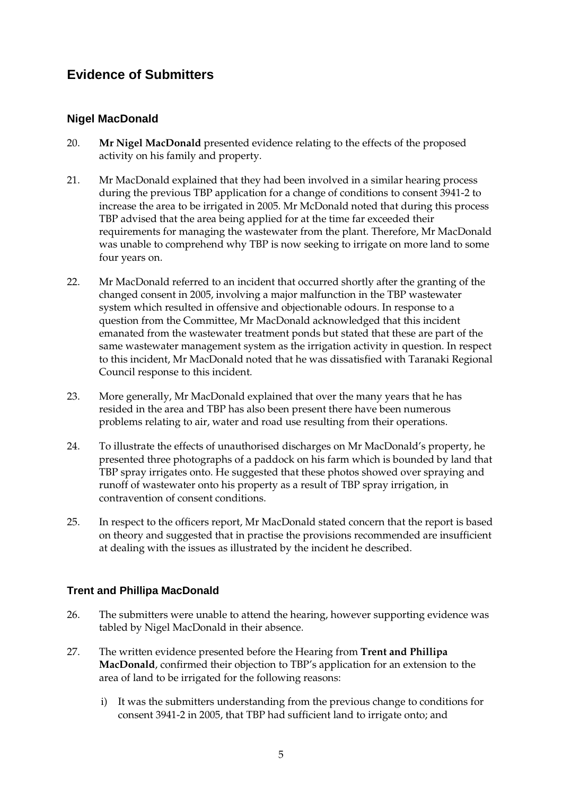# **Evidence of Submitters**

### **Nigel MacDonald**

- 20. **Mr Nigel MacDonald** presented evidence relating to the effects of the proposed activity on his family and property.
- 21. Mr MacDonald explained that they had been involved in a similar hearing process during the previous TBP application for a change of conditions to consent 3941-2 to increase the area to be irrigated in 2005. Mr McDonald noted that during this process TBP advised that the area being applied for at the time far exceeded their requirements for managing the wastewater from the plant. Therefore, Mr MacDonald was unable to comprehend why TBP is now seeking to irrigate on more land to some four years on.
- 22. Mr MacDonald referred to an incident that occurred shortly after the granting of the changed consent in 2005, involving a major malfunction in the TBP wastewater system which resulted in offensive and objectionable odours. In response to a question from the Committee, Mr MacDonald acknowledged that this incident emanated from the wastewater treatment ponds but stated that these are part of the same wastewater management system as the irrigation activity in question. In respect to this incident, Mr MacDonald noted that he was dissatisfied with Taranaki Regional Council response to this incident.
- 23. More generally, Mr MacDonald explained that over the many years that he has resided in the area and TBP has also been present there have been numerous problems relating to air, water and road use resulting from their operations.
- 24. To illustrate the effects of unauthorised discharges on Mr MacDonald's property, he presented three photographs of a paddock on his farm which is bounded by land that TBP spray irrigates onto. He suggested that these photos showed over spraying and runoff of wastewater onto his property as a result of TBP spray irrigation, in contravention of consent conditions.
- 25. In respect to the officers report, Mr MacDonald stated concern that the report is based on theory and suggested that in practise the provisions recommended are insufficient at dealing with the issues as illustrated by the incident he described.

### **Trent and Phillipa MacDonald**

- 26. The submitters were unable to attend the hearing, however supporting evidence was tabled by Nigel MacDonald in their absence.
- 27. The written evidence presented before the Hearing from **Trent and Phillipa MacDonald**, confirmed their objection to TBP's application for an extension to the area of land to be irrigated for the following reasons:
	- i) It was the submitters understanding from the previous change to conditions for consent 3941-2 in 2005, that TBP had sufficient land to irrigate onto; and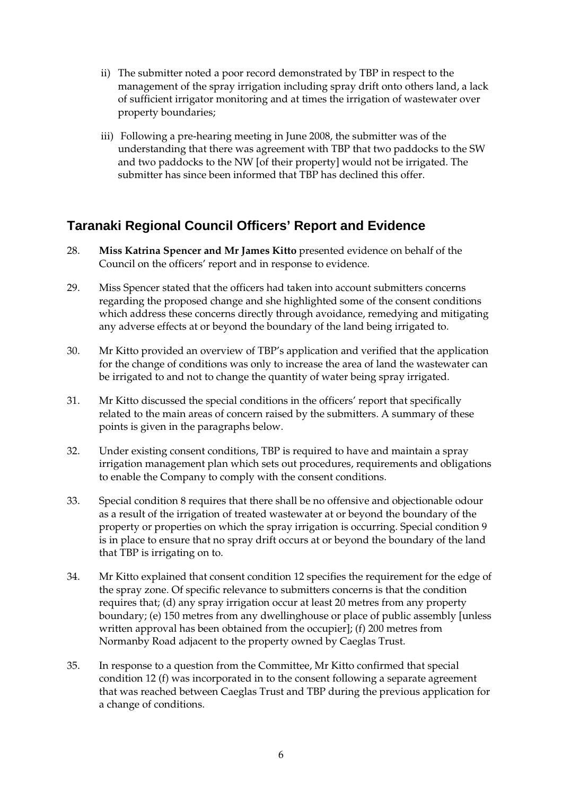- ii) The submitter noted a poor record demonstrated by TBP in respect to the management of the spray irrigation including spray drift onto others land, a lack of sufficient irrigator monitoring and at times the irrigation of wastewater over property boundaries;
- iii) Following a pre-hearing meeting in June 2008, the submitter was of the understanding that there was agreement with TBP that two paddocks to the SW and two paddocks to the NW [of their property] would not be irrigated. The submitter has since been informed that TBP has declined this offer.

# **Taranaki Regional Council Officers' Report and Evidence**

- 28. **Miss Katrina Spencer and Mr James Kitto** presented evidence on behalf of the Council on the officers' report and in response to evidence.
- 29. Miss Spencer stated that the officers had taken into account submitters concerns regarding the proposed change and she highlighted some of the consent conditions which address these concerns directly through avoidance, remedying and mitigating any adverse effects at or beyond the boundary of the land being irrigated to.
- 30. Mr Kitto provided an overview of TBP's application and verified that the application for the change of conditions was only to increase the area of land the wastewater can be irrigated to and not to change the quantity of water being spray irrigated.
- 31. Mr Kitto discussed the special conditions in the officers' report that specifically related to the main areas of concern raised by the submitters. A summary of these points is given in the paragraphs below.
- 32. Under existing consent conditions, TBP is required to have and maintain a spray irrigation management plan which sets out procedures, requirements and obligations to enable the Company to comply with the consent conditions.
- 33. Special condition 8 requires that there shall be no offensive and objectionable odour as a result of the irrigation of treated wastewater at or beyond the boundary of the property or properties on which the spray irrigation is occurring. Special condition 9 is in place to ensure that no spray drift occurs at or beyond the boundary of the land that TBP is irrigating on to.
- 34. Mr Kitto explained that consent condition 12 specifies the requirement for the edge of the spray zone. Of specific relevance to submitters concerns is that the condition requires that; (d) any spray irrigation occur at least 20 metres from any property boundary; (e) 150 metres from any dwellinghouse or place of public assembly [unless written approval has been obtained from the occupier]; (f) 200 metres from Normanby Road adjacent to the property owned by Caeglas Trust.
- 35. In response to a question from the Committee, Mr Kitto confirmed that special condition 12 (f) was incorporated in to the consent following a separate agreement that was reached between Caeglas Trust and TBP during the previous application for a change of conditions.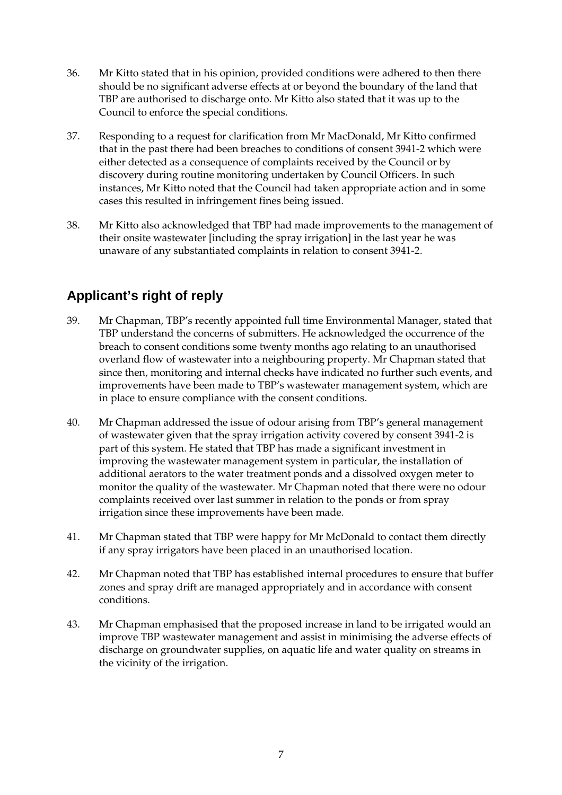- 36. Mr Kitto stated that in his opinion, provided conditions were adhered to then there should be no significant adverse effects at or beyond the boundary of the land that TBP are authorised to discharge onto. Mr Kitto also stated that it was up to the Council to enforce the special conditions.
- 37. Responding to a request for clarification from Mr MacDonald, Mr Kitto confirmed that in the past there had been breaches to conditions of consent 3941-2 which were either detected as a consequence of complaints received by the Council or by discovery during routine monitoring undertaken by Council Officers. In such instances, Mr Kitto noted that the Council had taken appropriate action and in some cases this resulted in infringement fines being issued.
- 38. Mr Kitto also acknowledged that TBP had made improvements to the management of their onsite wastewater [including the spray irrigation] in the last year he was unaware of any substantiated complaints in relation to consent 3941-2.

# **Applicant's right of reply**

- 39. Mr Chapman, TBP's recently appointed full time Environmental Manager, stated that TBP understand the concerns of submitters. He acknowledged the occurrence of the breach to consent conditions some twenty months ago relating to an unauthorised overland flow of wastewater into a neighbouring property. Mr Chapman stated that since then, monitoring and internal checks have indicated no further such events, and improvements have been made to TBP's wastewater management system, which are in place to ensure compliance with the consent conditions.
- 40. Mr Chapman addressed the issue of odour arising from TBP's general management of wastewater given that the spray irrigation activity covered by consent 3941-2 is part of this system. He stated that TBP has made a significant investment in improving the wastewater management system in particular, the installation of additional aerators to the water treatment ponds and a dissolved oxygen meter to monitor the quality of the wastewater. Mr Chapman noted that there were no odour complaints received over last summer in relation to the ponds or from spray irrigation since these improvements have been made.
- 41. Mr Chapman stated that TBP were happy for Mr McDonald to contact them directly if any spray irrigators have been placed in an unauthorised location.
- 42. Mr Chapman noted that TBP has established internal procedures to ensure that buffer zones and spray drift are managed appropriately and in accordance with consent conditions.
- 43. Mr Chapman emphasised that the proposed increase in land to be irrigated would an improve TBP wastewater management and assist in minimising the adverse effects of discharge on groundwater supplies, on aquatic life and water quality on streams in the vicinity of the irrigation.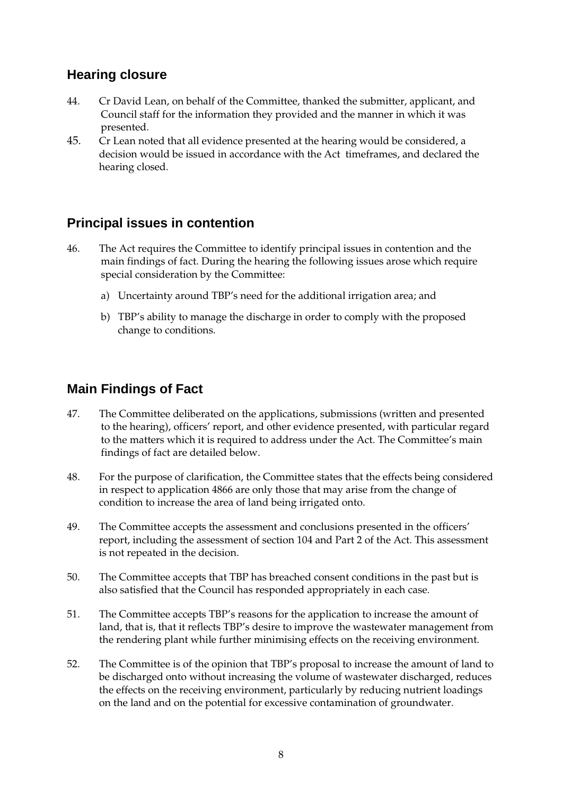# **Hearing closure**

- 44. Cr David Lean, on behalf of the Committee, thanked the submitter, applicant, and Council staff for the information they provided and the manner in which it was presented.
- 45. Cr Lean noted that all evidence presented at the hearing would be considered, a decision would be issued in accordance with the Act timeframes, and declared the hearing closed.

# **Principal issues in contention**

- 46. The Act requires the Committee to identify principal issues in contention and the main findings of fact. During the hearing the following issues arose which require special consideration by the Committee:
	- a) Uncertainty around TBP's need for the additional irrigation area; and
	- b) TBP's ability to manage the discharge in order to comply with the proposed change to conditions.

## **Main Findings of Fact**

- 47. The Committee deliberated on the applications, submissions (written and presented to the hearing), officers' report, and other evidence presented, with particular regard to the matters which it is required to address under the Act. The Committee's main findings of fact are detailed below.
- 48. For the purpose of clarification, the Committee states that the effects being considered in respect to application 4866 are only those that may arise from the change of condition to increase the area of land being irrigated onto.
- 49. The Committee accepts the assessment and conclusions presented in the officers' report, including the assessment of section 104 and Part 2 of the Act. This assessment is not repeated in the decision.
- 50. The Committee accepts that TBP has breached consent conditions in the past but is also satisfied that the Council has responded appropriately in each case.
- 51. The Committee accepts TBP's reasons for the application to increase the amount of land, that is, that it reflects TBP's desire to improve the wastewater management from the rendering plant while further minimising effects on the receiving environment.
- 52. The Committee is of the opinion that TBP's proposal to increase the amount of land to be discharged onto without increasing the volume of wastewater discharged, reduces the effects on the receiving environment, particularly by reducing nutrient loadings on the land and on the potential for excessive contamination of groundwater.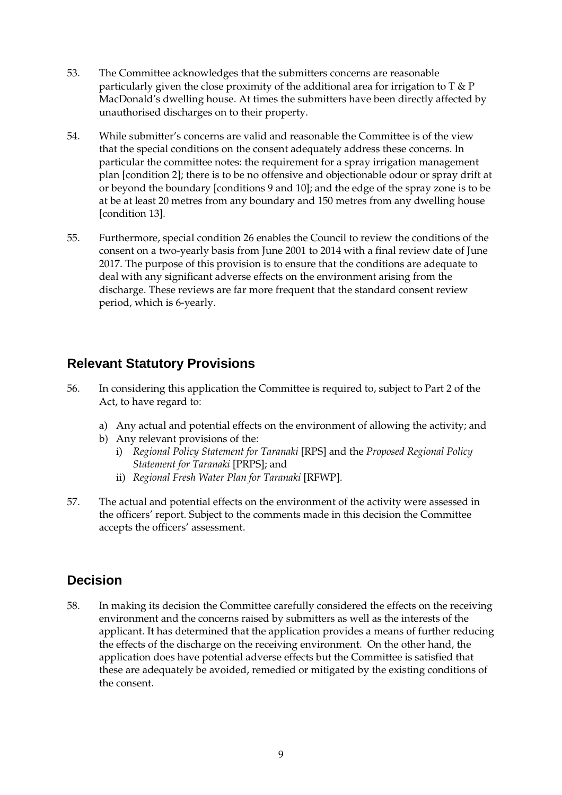- 53. The Committee acknowledges that the submitters concerns are reasonable particularly given the close proximity of the additional area for irrigation to  $T \& P$ MacDonald's dwelling house. At times the submitters have been directly affected by unauthorised discharges on to their property.
- 54. While submitter's concerns are valid and reasonable the Committee is of the view that the special conditions on the consent adequately address these concerns. In particular the committee notes: the requirement for a spray irrigation management plan [condition 2]; there is to be no offensive and objectionable odour or spray drift at or beyond the boundary [conditions 9 and 10]; and the edge of the spray zone is to be at be at least 20 metres from any boundary and 150 metres from any dwelling house [condition 13].
- 55. Furthermore, special condition 26 enables the Council to review the conditions of the consent on a two-yearly basis from June 2001 to 2014 with a final review date of June 2017. The purpose of this provision is to ensure that the conditions are adequate to deal with any significant adverse effects on the environment arising from the discharge. These reviews are far more frequent that the standard consent review period, which is 6-yearly.

## **Relevant Statutory Provisions**

- 56. In considering this application the Committee is required to, subject to Part 2 of the Act, to have regard to:
	- a) Any actual and potential effects on the environment of allowing the activity; and
	- b) Any relevant provisions of the:
		- i) *Regional Policy Statement for Taranaki* [RPS] and the *Proposed Regional Policy Statement for Taranaki* [PRPS]; and
		- ii) *Regional Fresh Water Plan for Taranaki* [RFWP].
- 57. The actual and potential effects on the environment of the activity were assessed in the officers' report. Subject to the comments made in this decision the Committee accepts the officers' assessment.

# **Decision**

58. In making its decision the Committee carefully considered the effects on the receiving environment and the concerns raised by submitters as well as the interests of the applicant. It has determined that the application provides a means of further reducing the effects of the discharge on the receiving environment. On the other hand, the application does have potential adverse effects but the Committee is satisfied that these are adequately be avoided, remedied or mitigated by the existing conditions of the consent.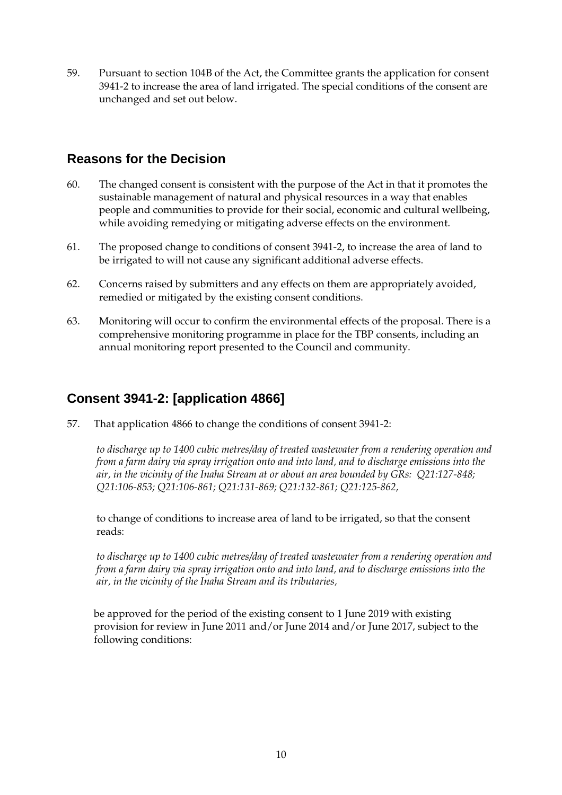59. Pursuant to section 104B of the Act, the Committee grants the application for consent 3941-2 to increase the area of land irrigated. The special conditions of the consent are unchanged and set out below.

# **Reasons for the Decision**

- 60. The changed consent is consistent with the purpose of the Act in that it promotes the sustainable management of natural and physical resources in a way that enables people and communities to provide for their social, economic and cultural wellbeing, while avoiding remedying or mitigating adverse effects on the environment.
- 61. The proposed change to conditions of consent 3941-2, to increase the area of land to be irrigated to will not cause any significant additional adverse effects.
- 62. Concerns raised by submitters and any effects on them are appropriately avoided, remedied or mitigated by the existing consent conditions.
- 63. Monitoring will occur to confirm the environmental effects of the proposal. There is a comprehensive monitoring programme in place for the TBP consents, including an annual monitoring report presented to the Council and community.

# **Consent 3941-2: [application 4866]**

57. That application 4866 to change the conditions of consent 3941-2:

*to discharge up to 1400 cubic metres/day of treated wastewater from a rendering operation and from a farm dairy via spray irrigation onto and into land, and to discharge emissions into the air, in the vicinity of the Inaha Stream at or about an area bounded by GRs: Q21:127-848; Q21:106-853; Q21:106-861; Q21:131-869; Q21:132-861; Q21:125-862,* 

to change of conditions to increase area of land to be irrigated, so that the consent reads:

*to discharge up to 1400 cubic metres/day of treated wastewater from a rendering operation and from a farm dairy via spray irrigation onto and into land, and to discharge emissions into the air, in the vicinity of the Inaha Stream and its tributaries,* 

be approved for the period of the existing consent to 1 June 2019 with existing provision for review in June 2011 and/or June 2014 and/or June 2017, subject to the following conditions: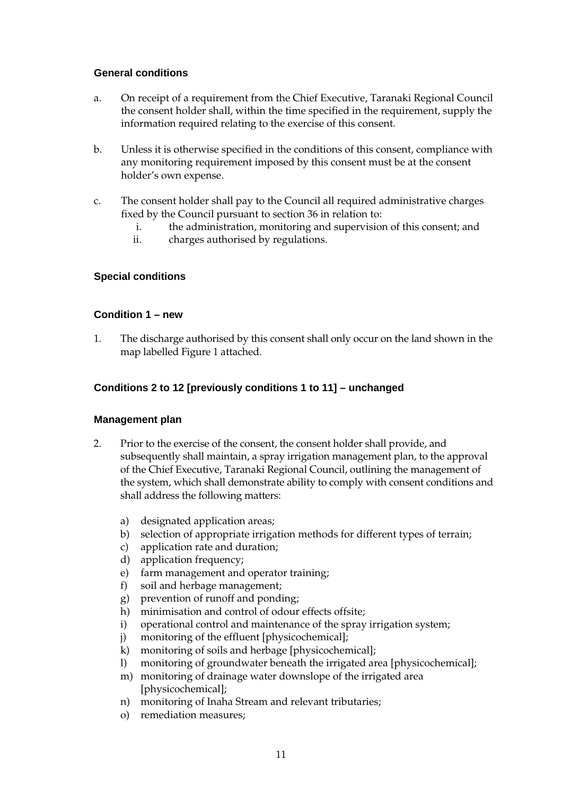#### **General conditions**

- a. On receipt of a requirement from the Chief Executive, Taranaki Regional Council the consent holder shall, within the time specified in the requirement, supply the information required relating to the exercise of this consent.
- b. Unless it is otherwise specified in the conditions of this consent, compliance with any monitoring requirement imposed by this consent must be at the consent holder's own expense.
- c. The consent holder shall pay to the Council all required administrative charges fixed by the Council pursuant to section 36 in relation to:
	- i. the administration, monitoring and supervision of this consent; and
	- ii. charges authorised by regulations.

### **Special conditions**

#### **Condition 1 – new**

1. The discharge authorised by this consent shall only occur on the land shown in the map labelled Figure 1 attached.

### **Conditions 2 to 12 [previously conditions 1 to 11] – unchanged**

#### **Management plan**

- 2. Prior to the exercise of the consent, the consent holder shall provide, and subsequently shall maintain, a spray irrigation management plan, to the approval of the Chief Executive, Taranaki Regional Council, outlining the management of the system, which shall demonstrate ability to comply with consent conditions and shall address the following matters:
	- a) designated application areas;
	- b) selection of appropriate irrigation methods for different types of terrain;
	- c) application rate and duration;
	- d) application frequency;
	- e) farm management and operator training;
	- f) soil and herbage management;
	- g) prevention of runoff and ponding;
	- h) minimisation and control of odour effects offsite;
	- i) operational control and maintenance of the spray irrigation system;
	- j) monitoring of the effluent [physicochemical];
	- k) monitoring of soils and herbage [physicochemical];
	- l) monitoring of groundwater beneath the irrigated area [physicochemical];
	- m) monitoring of drainage water downslope of the irrigated area [physicochemical];
	- n) monitoring of Inaha Stream and relevant tributaries;
	- o) remediation measures;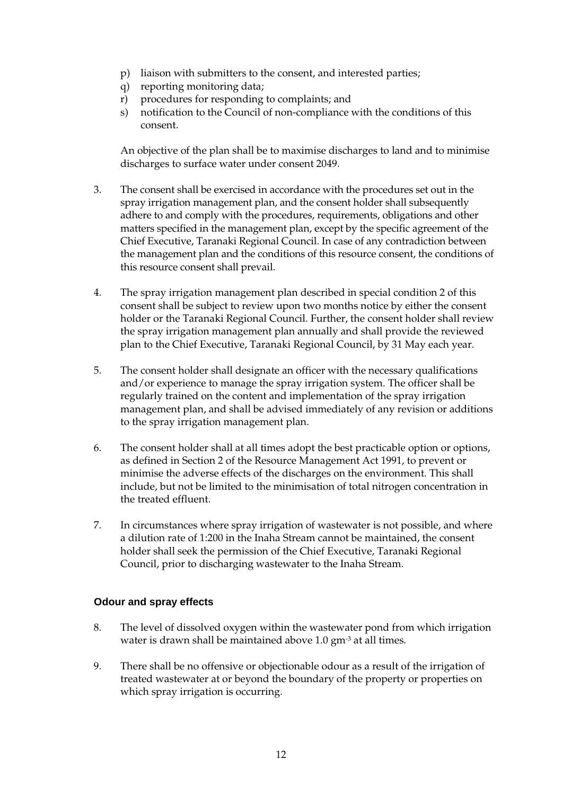- p) liaison with submitters to the consent, and interested parties;
- q) reporting monitoring data;
- r) procedures for responding to complaints; and
- s) notification to the Council of non-compliance with the conditions of this consent.

 An objective of the plan shall be to maximise discharges to land and to minimise discharges to surface water under consent 2049.

- 3. The consent shall be exercised in accordance with the procedures set out in the spray irrigation management plan, and the consent holder shall subsequently adhere to and comply with the procedures, requirements, obligations and other matters specified in the management plan, except by the specific agreement of the Chief Executive, Taranaki Regional Council. In case of any contradiction between the management plan and the conditions of this resource consent, the conditions of this resource consent shall prevail.
- 4. The spray irrigation management plan described in special condition 2 of this consent shall be subject to review upon two months notice by either the consent holder or the Taranaki Regional Council. Further, the consent holder shall review the spray irrigation management plan annually and shall provide the reviewed plan to the Chief Executive, Taranaki Regional Council, by 31 May each year.
- 5. The consent holder shall designate an officer with the necessary qualifications and/or experience to manage the spray irrigation system. The officer shall be regularly trained on the content and implementation of the spray irrigation management plan, and shall be advised immediately of any revision or additions to the spray irrigation management plan.
- 6. The consent holder shall at all times adopt the best practicable option or options, as defined in Section 2 of the Resource Management Act 1991, to prevent or minimise the adverse effects of the discharges on the environment. This shall include, but not be limited to the minimisation of total nitrogen concentration in the treated effluent.
- 7. In circumstances where spray irrigation of wastewater is not possible, and where a dilution rate of 1:200 in the Inaha Stream cannot be maintained, the consent holder shall seek the permission of the Chief Executive, Taranaki Regional Council, prior to discharging wastewater to the Inaha Stream.

#### **Odour and spray effects**

- 8. The level of dissolved oxygen within the wastewater pond from which irrigation water is drawn shall be maintained above 1.0 gm<sup>-3</sup> at all times.
- 9. There shall be no offensive or objectionable odour as a result of the irrigation of treated wastewater at or beyond the boundary of the property or properties on which spray irrigation is occurring.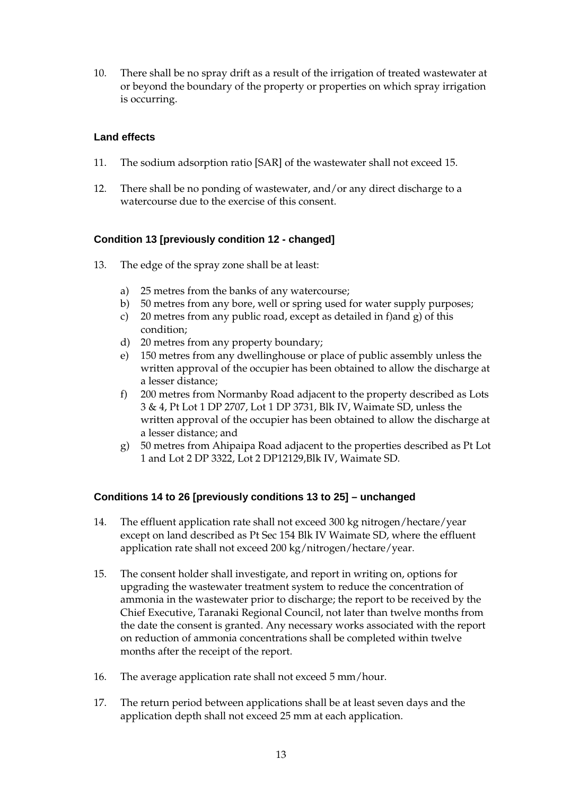10. There shall be no spray drift as a result of the irrigation of treated wastewater at or beyond the boundary of the property or properties on which spray irrigation is occurring.

### **Land effects**

- 11. The sodium adsorption ratio [SAR] of the wastewater shall not exceed 15.
- 12. There shall be no ponding of wastewater, and/or any direct discharge to a watercourse due to the exercise of this consent.

#### **Condition 13 [previously condition 12 - changed]**

- 13. The edge of the spray zone shall be at least:
	- a) 25 metres from the banks of any watercourse;
	- b) 50 metres from any bore, well or spring used for water supply purposes;
	- c) 20 metres from any public road, except as detailed in f)and g) of this condition;
	- d) 20 metres from any property boundary;
	- e) 150 metres from any dwellinghouse or place of public assembly unless the written approval of the occupier has been obtained to allow the discharge at a lesser distance;
	- f) 200 metres from Normanby Road adjacent to the property described as Lots 3 & 4, Pt Lot 1 DP 2707, Lot 1 DP 3731, Blk IV, Waimate SD, unless the written approval of the occupier has been obtained to allow the discharge at a lesser distance; and
	- g) 50 metres from Ahipaipa Road adjacent to the properties described as Pt Lot 1 and Lot 2 DP 3322, Lot 2 DP12129,Blk IV, Waimate SD.

### **Conditions 14 to 26 [previously conditions 13 to 25] – unchanged**

- 14. The effluent application rate shall not exceed 300 kg nitrogen/hectare/year except on land described as Pt Sec 154 Blk IV Waimate SD, where the effluent application rate shall not exceed 200 kg/nitrogen/hectare/year.
- 15. The consent holder shall investigate, and report in writing on, options for upgrading the wastewater treatment system to reduce the concentration of ammonia in the wastewater prior to discharge; the report to be received by the Chief Executive, Taranaki Regional Council, not later than twelve months from the date the consent is granted. Any necessary works associated with the report on reduction of ammonia concentrations shall be completed within twelve months after the receipt of the report.
- 16. The average application rate shall not exceed 5 mm/hour.
- 17. The return period between applications shall be at least seven days and the application depth shall not exceed 25 mm at each application.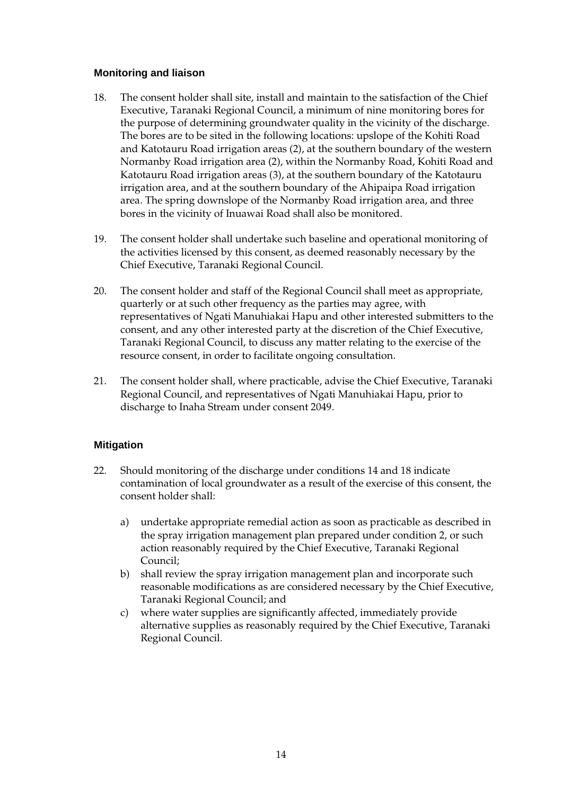#### **Monitoring and liaison**

- 18. The consent holder shall site, install and maintain to the satisfaction of the Chief Executive, Taranaki Regional Council, a minimum of nine monitoring bores for the purpose of determining groundwater quality in the vicinity of the discharge. The bores are to be sited in the following locations: upslope of the Kohiti Road and Katotauru Road irrigation areas (2), at the southern boundary of the western Normanby Road irrigation area (2), within the Normanby Road, Kohiti Road and Katotauru Road irrigation areas (3), at the southern boundary of the Katotauru irrigation area, and at the southern boundary of the Ahipaipa Road irrigation area. The spring downslope of the Normanby Road irrigation area, and three bores in the vicinity of Inuawai Road shall also be monitored.
- 19. The consent holder shall undertake such baseline and operational monitoring of the activities licensed by this consent, as deemed reasonably necessary by the Chief Executive, Taranaki Regional Council.
- 20. The consent holder and staff of the Regional Council shall meet as appropriate, quarterly or at such other frequency as the parties may agree, with representatives of Ngati Manuhiakai Hapu and other interested submitters to the consent, and any other interested party at the discretion of the Chief Executive, Taranaki Regional Council, to discuss any matter relating to the exercise of the resource consent, in order to facilitate ongoing consultation.
- 21. The consent holder shall, where practicable, advise the Chief Executive, Taranaki Regional Council, and representatives of Ngati Manuhiakai Hapu, prior to discharge to Inaha Stream under consent 2049.

### **Mitigation**

- 22. Should monitoring of the discharge under conditions 14 and 18 indicate contamination of local groundwater as a result of the exercise of this consent, the consent holder shall:
	- a) undertake appropriate remedial action as soon as practicable as described in the spray irrigation management plan prepared under condition 2, or such action reasonably required by the Chief Executive, Taranaki Regional Council;
	- b) shall review the spray irrigation management plan and incorporate such reasonable modifications as are considered necessary by the Chief Executive, Taranaki Regional Council; and
	- c) where water supplies are significantly affected, immediately provide alternative supplies as reasonably required by the Chief Executive, Taranaki Regional Council.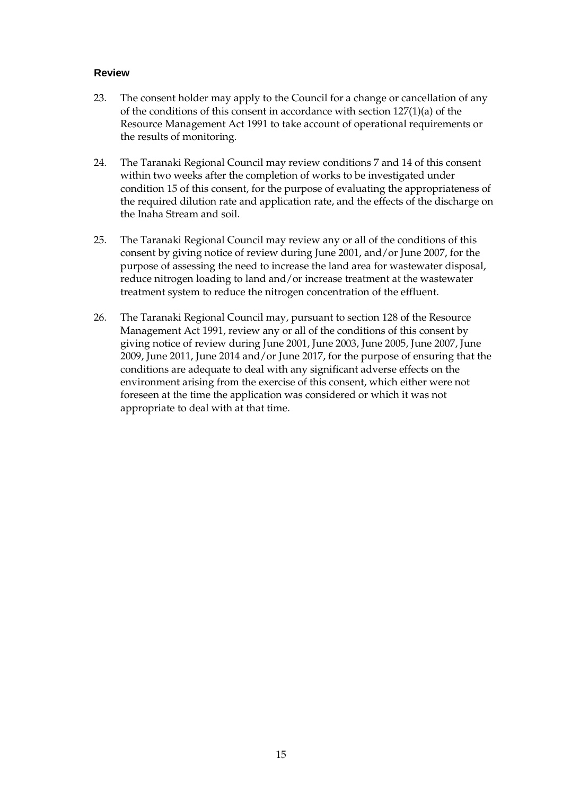#### **Review**

- 23. The consent holder may apply to the Council for a change or cancellation of any of the conditions of this consent in accordance with section 127(1)(a) of the Resource Management Act 1991 to take account of operational requirements or the results of monitoring.
- 24. The Taranaki Regional Council may review conditions 7 and 14 of this consent within two weeks after the completion of works to be investigated under condition 15 of this consent, for the purpose of evaluating the appropriateness of the required dilution rate and application rate, and the effects of the discharge on the Inaha Stream and soil.
- 25. The Taranaki Regional Council may review any or all of the conditions of this consent by giving notice of review during June 2001, and/or June 2007, for the purpose of assessing the need to increase the land area for wastewater disposal, reduce nitrogen loading to land and/or increase treatment at the wastewater treatment system to reduce the nitrogen concentration of the effluent.
- 26. The Taranaki Regional Council may, pursuant to section 128 of the Resource Management Act 1991, review any or all of the conditions of this consent by giving notice of review during June 2001, June 2003, June 2005, June 2007, June 2009, June 2011, June 2014 and/or June 2017, for the purpose of ensuring that the conditions are adequate to deal with any significant adverse effects on the environment arising from the exercise of this consent, which either were not foreseen at the time the application was considered or which it was not appropriate to deal with at that time.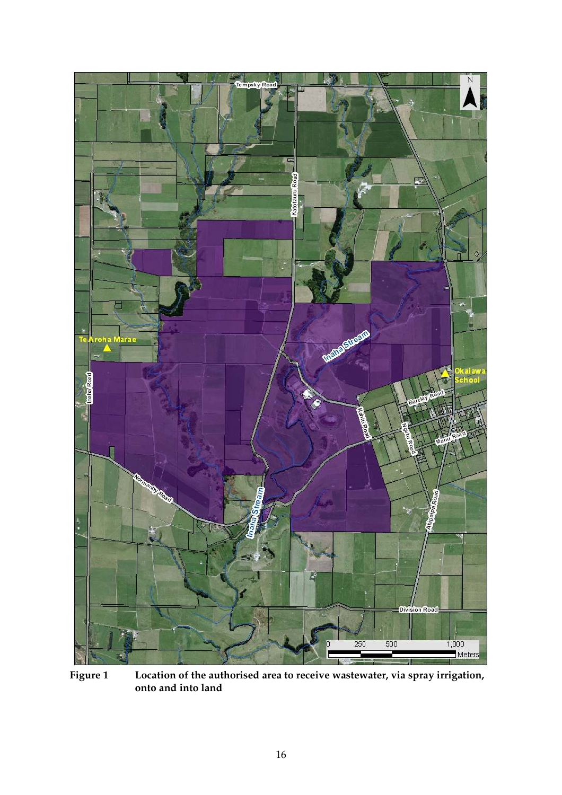

**Figure 1 Location of the authorised area to receive wastewater, via spray irrigation, onto and into land**